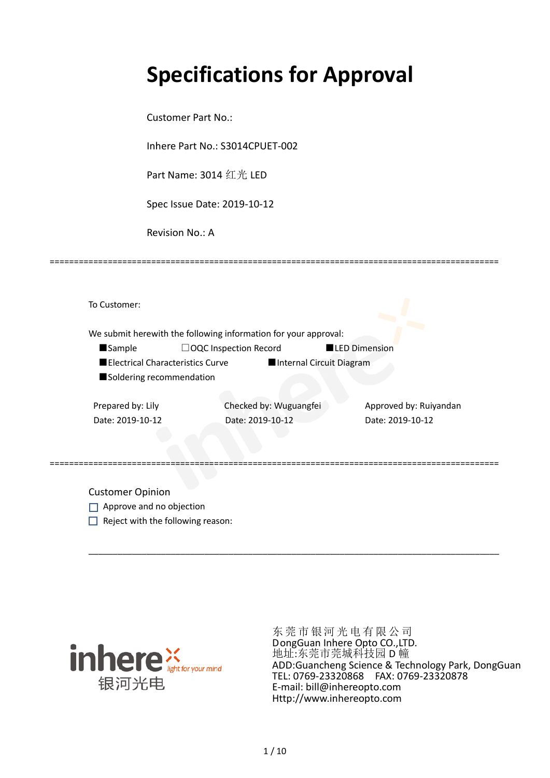# **Specifications for Approval**

Customer Part No.:

Inhere Part No.: S3014CPUET-002

Part Name: 3014 红光 LED

Spec Issue Date: 2019-10-12

Revision No.: A

|                   |                                  | We submit herewith the following information for your approval: |                      |                        |
|-------------------|----------------------------------|-----------------------------------------------------------------|----------------------|------------------------|
| <b>Sample</b>     | $\Box$ OQC Inspection Record     |                                                                 | <b>LED Dimension</b> |                        |
|                   | Electrical Characteristics Curve | Internal Circuit Diagram                                        |                      |                        |
|                   | Soldering recommendation         |                                                                 |                      |                        |
|                   |                                  |                                                                 |                      |                        |
| Prepared by: Lily |                                  | Checked by: Wuguangfei                                          |                      | Approved by: Ruiyandan |

=============================================================================================

Customer Opinion

- Approve and no objection
- $\Box$  Reject with the following reason:



东莞市银河光电有限公司 DongGuan Inhere Opto CO.,LTD. 地址:东莞市莞城科技园 D 幢 ADD:Guancheng Science & Technology Park, DongGuan TEL: 0769-23320868 FAX: 0769-23320878 E-mail: bill@inhereopto.com Http://www.inhereopto.com

\_\_\_\_\_\_\_\_\_\_\_\_\_\_\_\_\_\_\_\_\_\_\_\_\_\_\_\_\_\_\_\_\_\_\_\_\_\_\_\_\_\_\_\_\_\_\_\_\_\_\_\_\_\_\_\_\_\_\_\_\_\_\_\_\_\_\_\_\_\_\_\_\_\_\_\_\_\_\_\_\_\_\_\_\_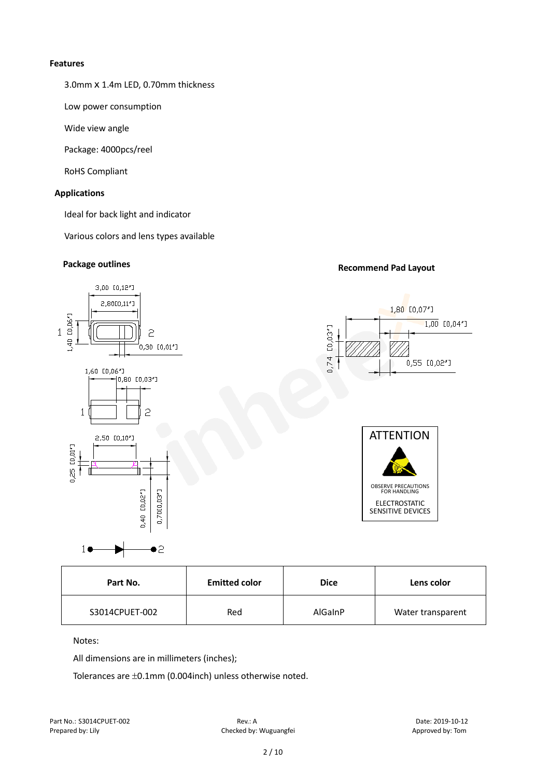#### **Features**

3.0mmⅹ1.4m LED, 0.70mm thickness

Low power consumption

Wide view angle

Package: 4000pcs/reel

RoHS Compliant

#### **Applications**

Ideal for back light and indicator

Various colors and lens types available

#### **Package outlines Recommend Pad Layout**



| <b>Emitted color</b><br>Part No. |     | <b>Dice</b> | Lens color        |
|----------------------------------|-----|-------------|-------------------|
| S3014CPUET-002                   | Red | AlGaInP     | Water transparent |

#### Notes:

All dimensions are in millimeters (inches);

Tolerances are ±0.1mm (0.004inch) unless otherwise noted.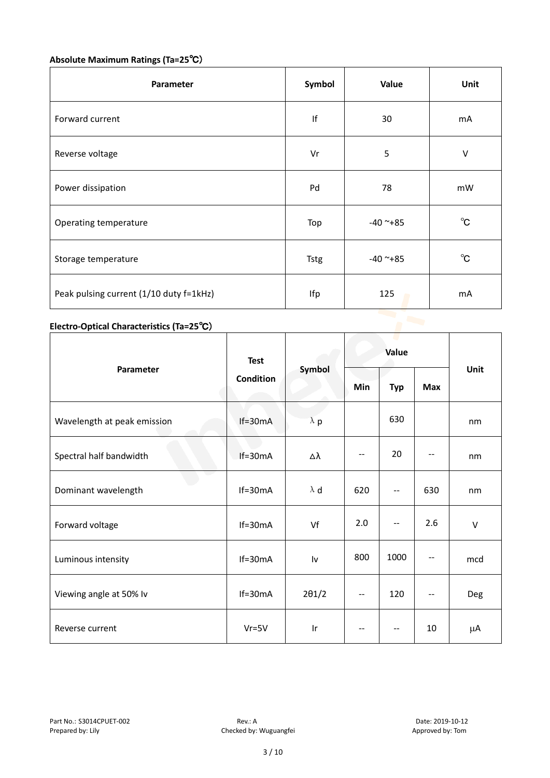### **Absolute Maximum Ratings (Ta=25**℃)

| Symbol | Value         | Unit         |
|--------|---------------|--------------|
| f      | 30            | mA           |
| Vr     | 5             | V            |
| Pd     | 78            | mW           |
| Top    | $-40$ ~ $+85$ | $^{\circ}$ C |
| Tstg   | $-40$ ~ $+85$ | $^{\circ}$ C |
| Ifp    | 125           | mA           |
|        |               |              |

## **Electro-Optical Characteristics (Ta=25**℃)

|                             | <b>Test</b>      |               | c ur<br>Value |                   |            |        |
|-----------------------------|------------------|---------------|---------------|-------------------|------------|--------|
| Parameter                   | <b>Condition</b> | Symbol        | <b>Min</b>    | <b>Typ</b>        | <b>Max</b> | Unit   |
| Wavelength at peak emission | $If=30mA$        | $\lambda$ p   |               | 630               |            | nm     |
| Spectral half bandwidth     | $If=30mA$        | Δλ            | $-$           | 20                |            | nm     |
| Dominant wavelength         | $If=30mA$        | $\lambda$ d   | 620           | --                | 630        | nm     |
| Forward voltage             | $If=30mA$        | Vf            | 2.0           | $\qquad \qquad -$ | 2.6        | $\vee$ |
| Luminous intensity          | $If=30mA$        | Iv            | 800           | 1000              |            | mcd    |
| Viewing angle at 50% lv     | $If=30mA$        | $2\theta$ 1/2 | --            | 120               | $-$        | Deg    |
| Reverse current             | $Vr = 5V$        | Ir            | $- -$         | $-\,-$            | 10         | μA     |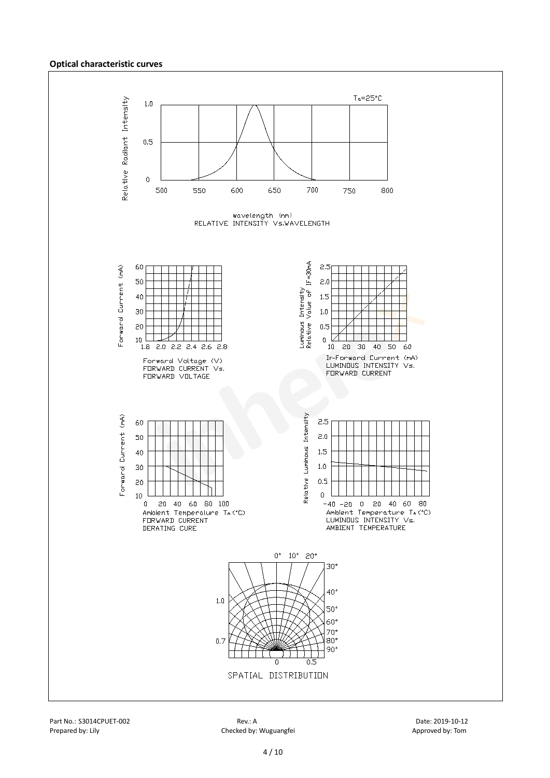#### **Optical characteristic curves**

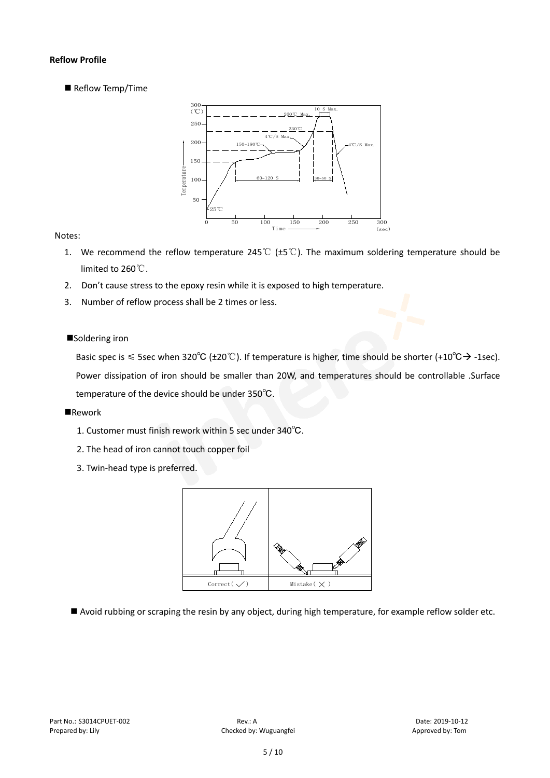#### **Reflow Profile**

Reflow Temp/Time



#### Notes:

- 1. We recommend the reflow temperature 245℃ (±5℃). The maximum soldering temperature should be limited to 260℃.
- 2. Don't cause stress to the epoxy resin while it is exposed to high temperature.
- 3. Number of reflow process shall be 2 times or less.

#### ■Soldering iron

Basic spec is  $\leq$  5sec when 320°C (±20°C). If temperature is higher, time should be shorter (+10°C $\rightarrow$ -1sec). Power dissipation of iron should be smaller than 20W, and temperatures should be controllable .Surface temperature of the device should be under 350℃.

#### **Rework**

- 1. Customer must finish rework within 5 sec under 340℃.
- 2. The head of iron cannot touch copper foil
- 3. Twin-head type is preferred.



Avoid rubbing or scraping the resin by any object, during high temperature, for example reflow solder etc.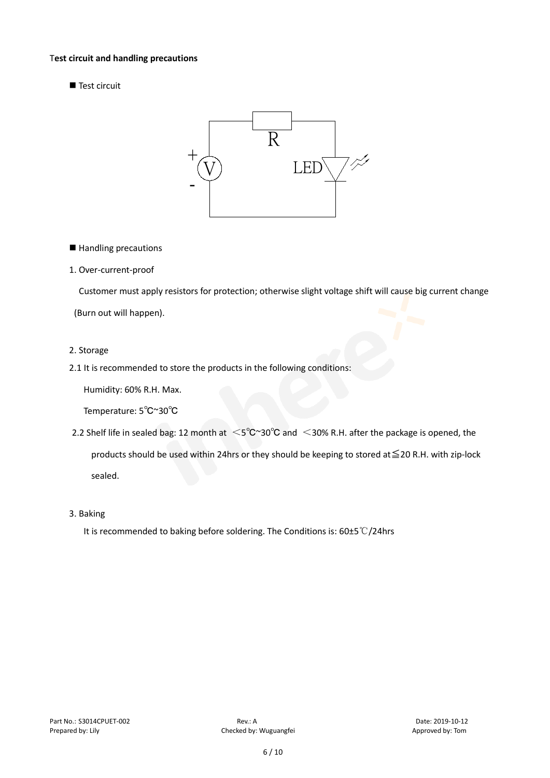#### T**est circuit and handling precautions**

■ Test circuit



- Handling precautions
- 1. Over-current-proof

Customer must apply resistors for protection; otherwise slight voltage shift will cause big current change

(Burn out will happen).

#### 2. Storage

2.1 It is recommended to store the products in the following conditions:

Humidity: 60% R.H. Max.

Temperature: 5℃~30℃

- 2.2 Shelf life in sealed bag: 12 month at <5℃~30°C and <30% R.H. after the package is opened, the products should be used within 24hrs or they should be keeping to stored at≦20 R.H. with zip-lock sealed.
- 3. Baking

It is recommended to baking before soldering. The Conditions is: 60±5℃/24hrs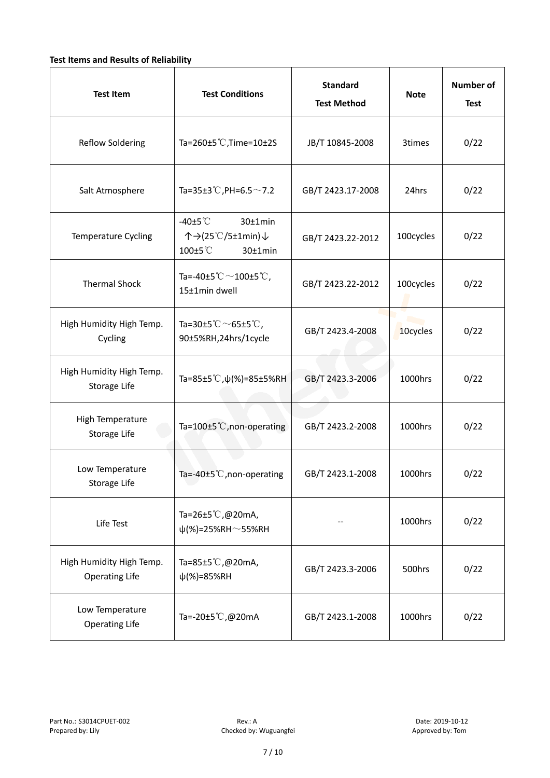#### **Test Items and Results of Reliability**

| <b>Test Item</b>                                  | <b>Test Conditions</b>                                                         | <b>Standard</b><br><b>Test Method</b> |           | <b>Number of</b><br><b>Test</b> |
|---------------------------------------------------|--------------------------------------------------------------------------------|---------------------------------------|-----------|---------------------------------|
| Reflow Soldering                                  | Ta=260 $\pm$ 5 °C, Time=10 $\pm$ 2S                                            | JB/T 10845-2008                       | 3times    | 0/22                            |
| Salt Atmosphere                                   | Ta=35±3°C, PH=6.5 $\sim$ 7.2                                                   | GB/T 2423.17-2008                     | 24hrs     | 0/22                            |
| Temperature Cycling                               | -40 $±5^{\circ}$ C<br>30±1min<br>个→(25℃/5±1min)↓<br>100±5°C<br>$30±1$ min      | GB/T 2423.22-2012                     | 100cycles | 0/22                            |
| <b>Thermal Shock</b>                              | Ta=-40±5 $\degree \text{C}$ $\sim$ 100±5 $\degree \text{C}$ ,<br>15±1min dwell | GB/T 2423.22-2012                     | 100cycles | 0/22                            |
| High Humidity High Temp.<br>Cycling               | Ta=30±5 $^{\circ}$ C $\sim$ 65±5 $^{\circ}$ C,<br>90±5%RH,24hrs/1cycle         | GB/T 2423.4-2008                      | 10cycles  | 0/22                            |
| High Humidity High Temp.<br>Storage Life          | Ta=85±5 °C, $\psi$ (%)=85±5%RH                                                 | GB/T 2423.3-2006                      | 1000hrs   | 0/22                            |
| High Temperature<br>Storage Life                  | Ta=100±5°C, non-operating                                                      | GB/T 2423.2-2008                      | 1000hrs   | 0/22                            |
| Low Temperature<br>Storage Life                   | Ta=-40±5 $°C$ , non-operating                                                  | GB/T 2423.1-2008                      | 1000hrs   | 0/22                            |
| Life Test                                         | Ta=26±5 $\degree$ C, @20mA,<br>$\psi$ (%)=25%RH~55%RH                          |                                       | 1000hrs   | 0/22                            |
| High Humidity High Temp.<br><b>Operating Life</b> | Ta=85 $\pm$ 5 °C, @20mA,<br>$\psi$ (%)=85%RH                                   | GB/T 2423.3-2006                      | 500hrs    | 0/22                            |
| Low Temperature<br><b>Operating Life</b>          | Ta=-20±5℃,@20mA                                                                | GB/T 2423.1-2008                      | 1000hrs   | 0/22                            |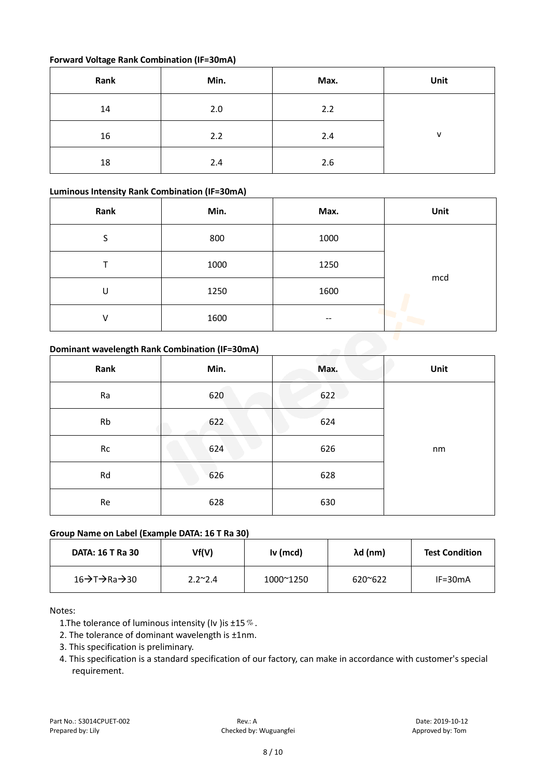#### **Forward Voltage Rank Combination (IF=30mA)**

| Rank | Min. | Max. | Unit |
|------|------|------|------|
| 14   | 2.0  | 2.2  |      |
| 16   | 2.2  | 2.4  | v    |
| 18   | 2.4  | 2.6  |      |

#### **Luminous Intensity Rank Combination (IF=30mA)**

| Rank                                           | Min. | Max. | Unit |  |  |
|------------------------------------------------|------|------|------|--|--|
| S                                              | 800  | 1000 |      |  |  |
|                                                | 1000 | 1250 |      |  |  |
| U                                              | 1250 | 1600 | mcd  |  |  |
| v                                              | 1600 |      |      |  |  |
| Dominant wavelength Rank Combination (IF=30mA) |      |      |      |  |  |

#### **Dominant wavelength Rank Combination (IF=30mA)**

| Rank | Min. | Max. | Unit |
|------|------|------|------|
| Ra   | 620  | 622  |      |
| Rb   | 622  | 624  |      |
| Rc   | 624  | 626  | nm   |
| Rd   | 626  | 628  |      |
| Re   | 628  | 630  |      |

#### **Group Name on Label (Example DATA: 16 T Ra 30)**

| <b>DATA: 16 T Ra 30</b> | Vf(V)           | Iv (mcd)  | λd (nm)          | <b>Test Condition</b> |
|-------------------------|-----------------|-----------|------------------|-----------------------|
| 16→T→Ra→30              | $2.2^{\sim}2.4$ | 1000~1250 | $620^{\circ}622$ | $IF = 30mA$           |

#### Notes:

1. The tolerance of luminous intensity (Iv ) is  $\pm 15\%$ .

2. The tolerance of dominant wavelength is ±1nm.

- 3. This specification is preliminary.
- 4. This specification is a standard specification of our factory, can make in accordance with customer's special requirement.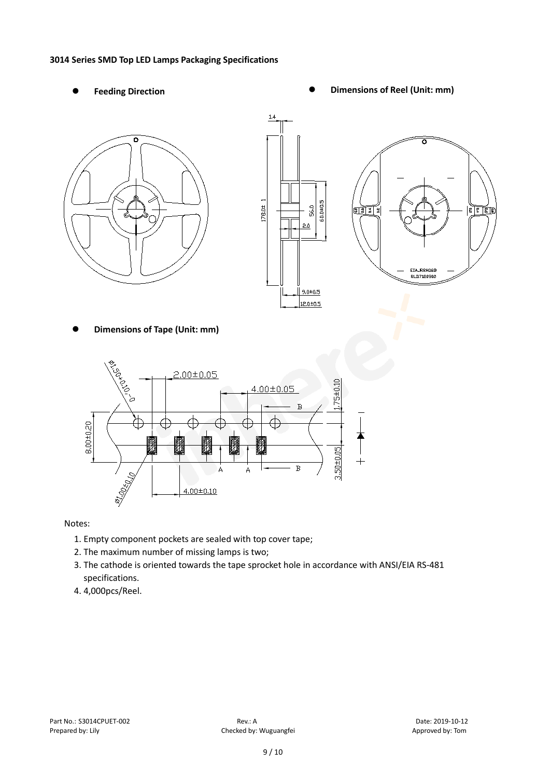#### **3014 Series SMD Top LED Lamps Packaging Specifications**

- 
- Feeding Direction **Constanting Construction Constanting Operations Construction Constanting Construction Constanting Construction**







**Dimensions of Tape (Unit: mm)**



Notes:

- 1. Empty component pockets are sealed with top cover tape;
- 2. The maximum number of missing lamps is two;
- 3. The cathode is oriented towards the tape sprocket hole in accordance with ANSI/EIA RS-481 specifications.
- 4. 4,000pcs/Reel.